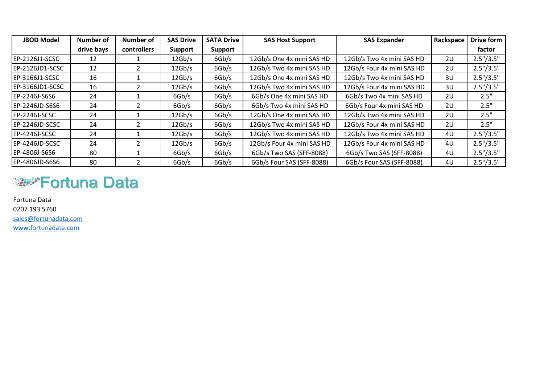| <b>JBOD Model</b>    | Number of  | Number of   | <b>SAS Drive</b> | <b>SATA Drive</b> | <b>SAS Host Support</b>    | <b>SAS Expander</b>        | Rackspace      | <b>Drive form</b> |
|----------------------|------------|-------------|------------------|-------------------|----------------------------|----------------------------|----------------|-------------------|
|                      | drive bays | controllers | <b>Support</b>   | Support           |                            |                            |                | factor            |
| EP-2126J1-SCSC       | 12         |             | 12Gb/s           | 6Gb/s             | 12Gb/s One 4x mini SAS HD  | 12Gb/s Two 4x mini SAS HD  | 2U             | 2.5''/3.5''       |
| EP-2126JD1-SCSC      | 12         |             | 12Gb/s           | 6Gb/s             | 12Gb/s Two 4x mini SAS HD  | 12Gb/s Four 4x mini SAS HD | 2U             | 2.5''/3.5''       |
| EP-3166J1-SCSC       | 16         |             | 12Gb/s           | 6Gb/s             | 12Gb/s One 4x mini SAS HD  | 12Gb/s Two 4x mini SAS HD  | 3U             | 2.5''/3.5''       |
| EP-3166JD1-SCSC      | 16         |             | 12Gb/s           | 6Gb/s             | 12Gb/s Two 4x mini SAS HD  | 12Gb/s Four 4x mini SAS HD | 3U             | 2.5''/3.5''       |
| EP-2246J-S6S6        | 24         |             | 6Gb/s            | 6Gb/s             | 6Gb/s One 4x mini SAS HD   | 6Gb/s Two 4x mini SAS HD   | 2U             | 2.5"              |
| EP-2246JD-S6S6       | 24         |             | 6Gb/s            | 6Gb/s             | 6Gb/s Two 4x mini SAS HD   | 6Gb/s Four 4x mini SAS HD  | 2U             | 2.5"              |
| EP-2246J-SCSC        | 24         |             | 12Gb/s           | 6Gb/s             | 12Gb/s One 4x mini SAS HD  | 12Gb/s Two 4x mini SAS HD  | 2U             | 2.5"              |
| EP-2246JD-SCSC       | 24         |             | 12Gb/s           | 6Gb/s             | 12Gb/s Two 4x mini SAS HD  | 12Gb/s Four 4x mini SAS HD | 2U             | 2.5"              |
| <b>EP-4246J-SCSC</b> | 24         |             | 12Gb/s           | 6Gb/s             | 12Gb/s Two 4x mini SAS HD  | 12Gb/s Two 4x mini SAS HD  | 4U             | 2.5''/3.5''       |
| EP-4246JD-SCSC       | 24         |             | 12Gb/s           | 6Gb/s             | 12Gb/s Four 4x mini SAS HD | 12Gb/s Four 4x mini SAS HD | 4U             | 2.5''/3.5''       |
| EP-4806J-S6S6        | 80         |             | 6Gb/s            | 6Gb/s             | 6Gb/s Two SAS (SFF-8088)   | 6Gb/s Two SAS (SFF-8088)   | 4U             | 2.5''/3.5''       |
| EP-4806JD-S6S6       | 80         |             | 6Gb/s            | 6Gb/s             | 6Gb/s Four SAS (SFF-8088)  | 6Gb/s Four SAS (SFF-8088)  | 4 <sub>U</sub> | 2.5''/3.5''       |

## **Suppliff Fortuna Data**

Fortuna Data 0207 193 5760 [sales@fortunadata.com](mailto:sales@fortunadata.com) [www.fortunadata.com](http://www.fortunadata.com/)